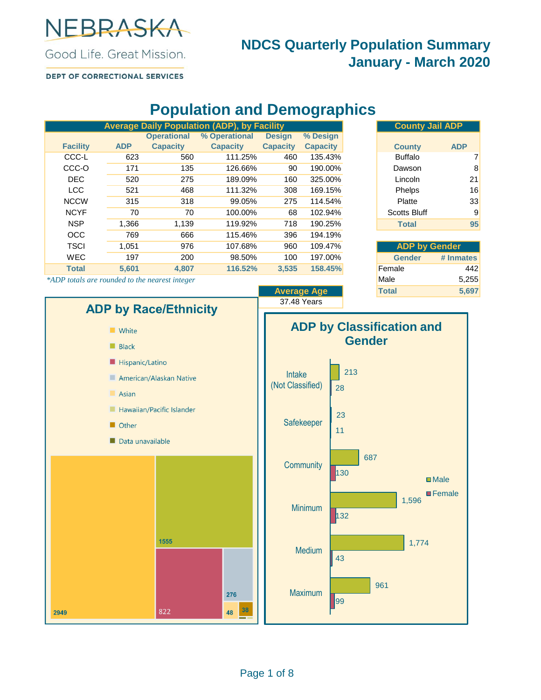

### **NDCS Quarterly Population Summary January - March 2020**

DEPT OF CORRECTIONAL SERVICES

# **Population and Demographics**

|                 |            |                    | <b>Average Daily Population (ADP), by Facility</b> |                 |                 |  |
|-----------------|------------|--------------------|----------------------------------------------------|-----------------|-----------------|--|
|                 |            | <b>Operational</b> | % Operational                                      | <b>Design</b>   | % Design        |  |
| <b>Facility</b> | <b>ADP</b> | <b>Capacity</b>    | <b>Capacity</b>                                    | <b>Capacity</b> | <b>Capacity</b> |  |
| CCC-L           | 623        | 560                | 111.25%                                            | 460             | 135.43%         |  |
| CCC-O           | 171        | 135                | 126.66%                                            | 90              | 190.00%         |  |
| <b>DEC</b>      | 520        | 275                | 189.09%                                            | 160             | 325.00%         |  |
| <b>LCC</b>      | 521        | 468                | 111.32%                                            | 308             | 169.15%         |  |
| <b>NCCW</b>     | 315        | 318                | 99.05%                                             | 275             | 114.54%         |  |
| <b>NCYF</b>     | 70         | 70                 | 100.00%                                            | 68              | 102.94%         |  |
| <b>NSP</b>      | 1,366      | 1,139              | 119.92%                                            | 718             | 190.25%         |  |
| <b>OCC</b>      | 769        | 666                | 115.46%                                            | 396             | 194.19%         |  |
| <b>TSCI</b>     | 1.051      | 976                | 107.68%                                            | 960             | 109.47%         |  |
| <b>WEC</b>      | 197        | 200                | 98.50%                                             | 100             | 197.00%         |  |
| <b>Total</b>    | 5.601      | 4.807              | 116.52%                                            | 3.535           | 158.45%         |  |

|                 | <b>County Jail ADP</b> |            |  |
|-----------------|------------------------|------------|--|
| % Design        |                        |            |  |
| <b>Capacity</b> | <b>County</b>          | <b>ADP</b> |  |
| 135.43%         | <b>Buffalo</b>         |            |  |
| 190.00%         | Dawson                 | 8          |  |
| 325.00%         | Lincoln                | 21         |  |
| 169.15%         | Phelps                 | 16         |  |
| 114.54%         | Platte                 | 33         |  |
| 102.94%         | <b>Scotts Bluff</b>    | 9          |  |
| 190.25%         | <b>Total</b>           | 95         |  |
|                 |                        |            |  |

| <b>ADP by Gender</b> |           |  |  |  |  |  |
|----------------------|-----------|--|--|--|--|--|
| Gender               | # Inmates |  |  |  |  |  |
| Female               | 442       |  |  |  |  |  |
| Male                 | 5,255     |  |  |  |  |  |
| <b>Total</b>         | 5,697     |  |  |  |  |  |

\*ADP totals are rounded to the nearest integer

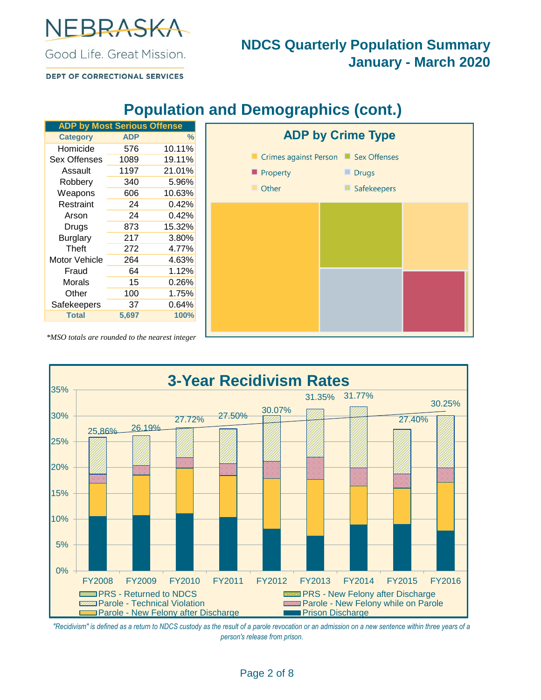

### **NDCS Quarterly Population Summary January - March 2020**

**DEPT OF CORRECTIONAL SERVICES** 

|  | <b>Population and Demographics (cont.)</b> |  |
|--|--------------------------------------------|--|
|--|--------------------------------------------|--|

| <b>ADP by Most Serious Offense</b> |            |               |
|------------------------------------|------------|---------------|
| <b>Category</b>                    | <b>ADP</b> | $\frac{0}{0}$ |
| Homicide                           | 576        | 10.11%        |
| Sex Offenses                       | 1089       | 19.11%        |
| Assault                            | 1197       | 21.01%        |
| Robbery                            | 340        | 5.96%         |
| Weapons                            | 606        | 10.63%        |
| Restraint                          | 24         | 0.42%         |
| Arson                              | 24         | 0.42%         |
| Drugs                              | 873        | 15.32%        |
| <b>Burglary</b>                    | 217        | 3.80%         |
| Theft                              | 272        | 4.77%         |
| <b>Motor Vehicle</b>               | 264        | 4.63%         |
| Fraud                              | 64         | 1.12%         |
| Morals                             | 15         | 0.26%         |
| Other                              | 100        | 1.75%         |
| Safekeepers                        | 37         | 0.64%         |
| <b>Total</b>                       | 5,697      | 100%          |



*\*MSO totals are rounded to the nearest integer*



*"Recidivism" is defined as a return to NDCS custody as the result of a parole revocation or an admission on a new sentence within three years of a person's release from prison.*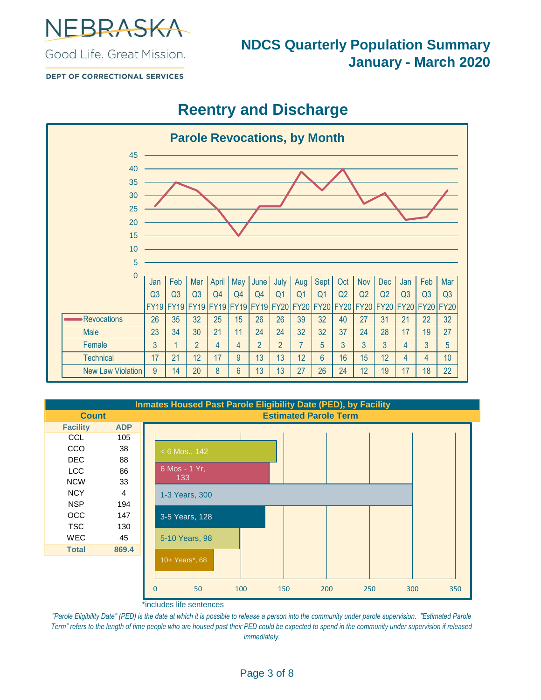

### **NDCS Quarterly Population Summary January - March 2020**

**DEPT OF CORRECTIONAL SERVICES** 

## **Reentry and Discharge**



|                 |                | <b>Inmates Housed Past Parole Eligibility Date (PED), by Facility</b> |     |                              |     |     |     |     |
|-----------------|----------------|-----------------------------------------------------------------------|-----|------------------------------|-----|-----|-----|-----|
| <b>Count</b>    |                |                                                                       |     | <b>Estimated Parole Term</b> |     |     |     |     |
| <b>Facility</b> | <b>ADP</b>     |                                                                       |     |                              |     |     |     |     |
| <b>CCL</b>      | 105            |                                                                       |     |                              |     |     |     |     |
| <b>CCO</b>      | 38             | $< 6$ Mos., 142                                                       |     |                              |     |     |     |     |
| DEC.            | 88             |                                                                       |     |                              |     |     |     |     |
| <b>LCC</b>      | 86             | 6 Mos - 1 Yr,                                                         |     |                              |     |     |     |     |
| <b>NCW</b>      | 33             | 133                                                                   |     |                              |     |     |     |     |
| <b>NCY</b>      | $\overline{4}$ | 1-3 Years, 300                                                        |     |                              |     |     |     |     |
| <b>NSP</b>      | 194            |                                                                       |     |                              |     |     |     |     |
| <b>OCC</b>      | 147            | 3-5 Years, 128                                                        |     |                              |     |     |     |     |
| <b>TSC</b>      | 130            |                                                                       |     |                              |     |     |     |     |
| <b>WEC</b>      | 45             | 5-10 Years, 98                                                        |     |                              |     |     |     |     |
| <b>Total</b>    | 869.4          |                                                                       |     |                              |     |     |     |     |
|                 |                | 10+ Years*, 68                                                        |     |                              |     |     |     |     |
|                 |                |                                                                       |     |                              |     |     |     |     |
|                 |                |                                                                       |     |                              |     |     |     |     |
|                 |                | 50<br>0                                                               | 100 | 150                          | 200 | 250 | 300 | 350 |

\*includes life sentences

*"Parole Eligibility Date" (PED) is the date at which it is possible to release a person into the community under parole supervision. "Estimated Parole Term" refers to the length of time people who are housed past their PED could be expected to spend in the community under supervision if released immediately.*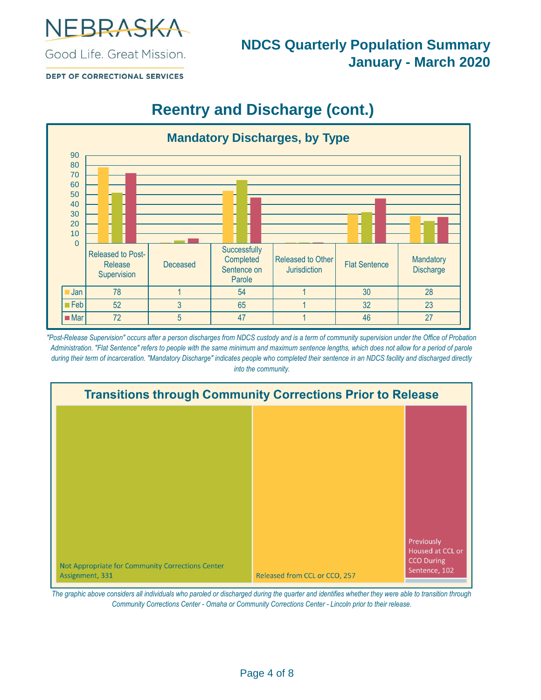

**DEPT OF CORRECTIONAL SERVICES** 

# **Reentry and Discharge (cont.)**



*"Post-Release Supervision" occurs after a person discharges from NDCS custody and is a term of community supervision under the Office of Probation Administration. "Flat Sentence" refers to people with the same minimum and maximum sentence lengths, which does not allow for a period of parole during their term of incarceration. "Mandatory Discharge" indicates people who completed their sentence in an NDCS facility and discharged directly into the community.*



*The graphic above considers all individuals who paroled or discharged during the quarter and identifies whether they were able to transition through Community Corrections Center - Omaha or Community Corrections Center - Lincoln prior to their release.*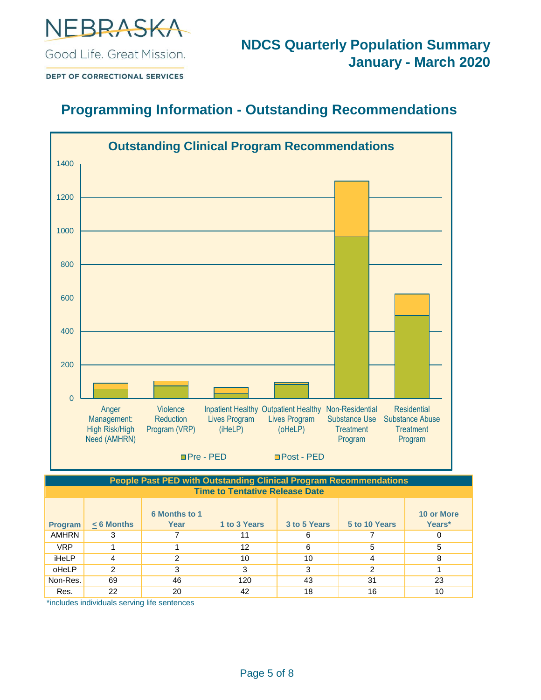

**DEPT OF CORRECTIONAL SERVICES** 

### **Programming Information - Outstanding Recommendations**



#### **Time to Tentative Release Date People Past PED with Outstanding Clinical Program Recommendations**

| Program      | $< 6$ Months | <b>6 Months to 1</b><br>Year | 1 to 3 Years | 3 to 5 Years | 5 to 10 Years | 10 or More<br>Years* |
|--------------|--------------|------------------------------|--------------|--------------|---------------|----------------------|
| <b>AMHRN</b> | 3            |                              | 11           | 6            |               |                      |
| <b>VRP</b>   |              |                              | 12           | 6            | 5             | 5                    |
| iHeLP        | 4            | 2                            | 10           | 10           | 4             | 8                    |
| oHeLP        | 2            | 3                            | 3            | 3            | 2             |                      |
| Non-Res.     | 69           | 46                           | 120          | 43           | 31            | 23                   |
| Res.         | 22           | 20                           | 42           | 18           | 16            | 10                   |

\*includes individuals serving life sentences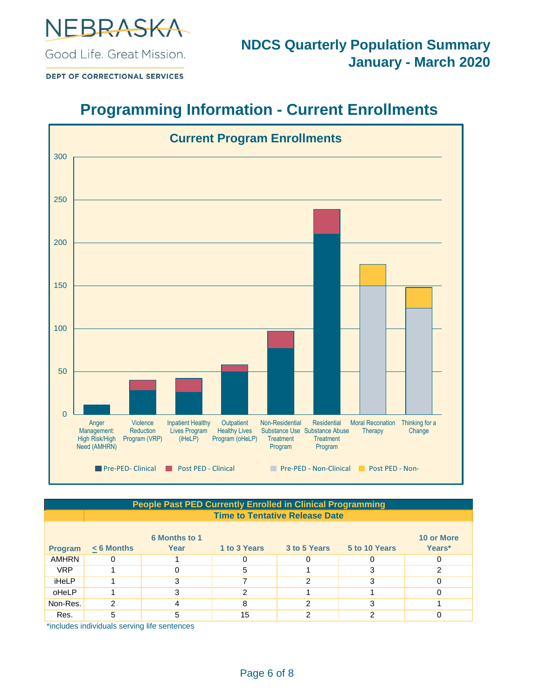

DEPT OF CORRECTIONAL SERVICES

## **Programming Information - Current Enrollments**



| People Past PED Currently Enrolled in Clinical Programming |                                                                              |                                       |              |              |               |            |  |  |  |
|------------------------------------------------------------|------------------------------------------------------------------------------|---------------------------------------|--------------|--------------|---------------|------------|--|--|--|
|                                                            |                                                                              | <b>Time to Tentative Release Date</b> |              |              |               |            |  |  |  |
|                                                            |                                                                              |                                       |              |              |               |            |  |  |  |
|                                                            |                                                                              | <b>6 Months to 1</b>                  |              |              |               | 10 or More |  |  |  |
| <b>Program</b>                                             | $< 6$ Months                                                                 | Year                                  | 1 to 3 Years | 3 to 5 Years | 5 to 10 Years | Years*     |  |  |  |
| <b>AMHRN</b>                                               |                                                                              |                                       |              | 0            |               |            |  |  |  |
| <b>VRP</b>                                                 |                                                                              |                                       | 5            |              |               |            |  |  |  |
| iHeLP                                                      |                                                                              |                                       |              | າ            |               |            |  |  |  |
| oHeLP                                                      |                                                                              | 3                                     | っ            |              |               |            |  |  |  |
| Non-Res.                                                   | 2                                                                            |                                       | 8            | っ            |               |            |  |  |  |
| Res.                                                       | 5                                                                            | 5                                     | 15           | 2            |               |            |  |  |  |
|                                                            | the all called the alterial contains a was the action of the action of a set |                                       |              |              |               |            |  |  |  |

\*includes individuals serving life sentences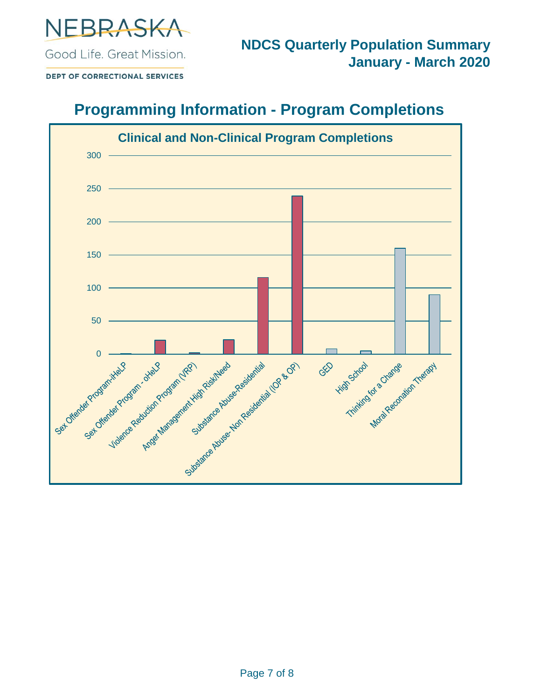

DEPT OF CORRECTIONAL SERVICES

## **Programming Information - Program Completions**